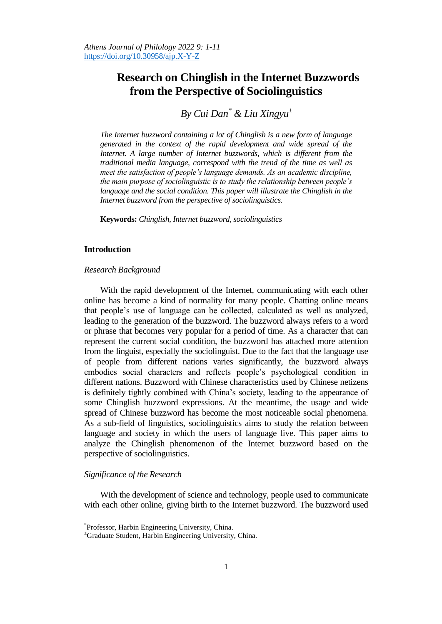# **Research on Chinglish in the Internet Buzzwords from the Perspective of Sociolinguistics**

# *By Cui Dan\* & Liu Xingyu<sup>±</sup>*

*The Internet buzzword containing a lot of Chinglish is a new form of language generated in the context of the rapid development and wide spread of the Internet. A large number of Internet buzzwords, which is different from the traditional media language, correspond with the trend of the time as well as meet the satisfaction of people's language demands. As an academic discipline, the main purpose of sociolinguistic is to study the relationship between people's*  language and the social condition. This paper will illustrate the Chinglish in the *Internet buzzword from the perspective of sociolinguistics.* 

**Keywords:** *Chinglish, Internet buzzword, sociolinguistics*

## **Introduction**

#### *Research Background*

With the rapid development of the Internet, communicating with each other online has become a kind of normality for many people. Chatting online means that people's use of language can be collected, calculated as well as analyzed, leading to the generation of the buzzword. The buzzword always refers to a word or phrase that becomes very popular for a period of time. As a character that can represent the current social condition, the buzzword has attached more attention from the linguist, especially the sociolinguist. Due to the fact that the language use of people from different nations varies significantly, the buzzword always embodies social characters and reflects people's psychological condition in different nations. Buzzword with Chinese characteristics used by Chinese netizens is definitely tightly combined with China's society, leading to the appearance of some Chinglish buzzword expressions. At the meantime, the usage and wide spread of Chinese buzzword has become the most noticeable social phenomena. As a sub-field of linguistics, sociolinguistics aims to study the relation between language and society in which the users of language live. This paper aims to analyze the Chinglish phenomenon of the Internet buzzword based on the perspective of sociolinguistics.

## *Significance of the Research*

 $\overline{\phantom{a}}$ 

With the development of science and technology, people used to communicate with each other online, giving birth to the Internet buzzword. The buzzword used

<sup>\*</sup> Professor, Harbin Engineering University, China.

<sup>±</sup>Graduate Student, Harbin Engineering University, China.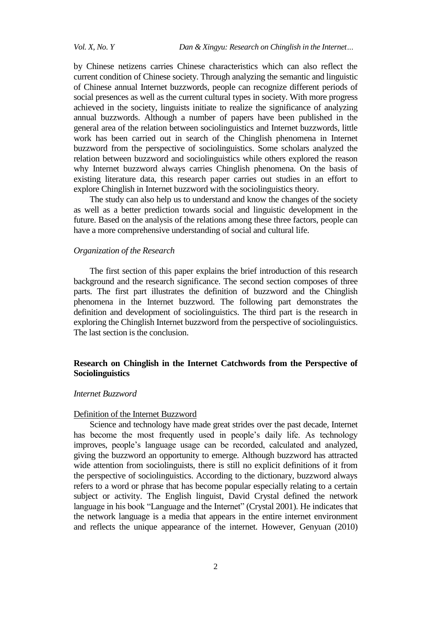by Chinese netizens carries Chinese characteristics which can also reflect the current condition of Chinese society. Through analyzing the semantic and linguistic of Chinese annual Internet buzzwords, people can recognize different periods of social presences as well as the current cultural types in society. With more progress achieved in the society, linguists initiate to realize the significance of analyzing annual buzzwords. Although a number of papers have been published in the general area of the relation between sociolinguistics and Internet buzzwords, little work has been carried out in search of the Chinglish phenomena in Internet buzzword from the perspective of sociolinguistics. Some scholars analyzed the relation between buzzword and sociolinguistics while others explored the reason why Internet buzzword always carries Chinglish phenomena. On the basis of existing literature data, this research paper carries out studies in an effort to explore Chinglish in Internet buzzword with the sociolinguistics theory.

The study can also help us to understand and know the changes of the society as well as a better prediction towards social and linguistic development in the future. Based on the analysis of the relations among these three factors, people can have a more comprehensive understanding of social and cultural life.

## *Organization of the Research*

The first section of this paper explains the brief introduction of this research background and the research significance. The second section composes of three parts. The first part illustrates the definition of buzzword and the Chinglish phenomena in the Internet buzzword. The following part demonstrates the definition and development of sociolinguistics. The third part is the research in exploring the Chinglish Internet buzzword from the perspective of sociolinguistics. The last section is the conclusion.

## **Research on Chinglish in the Internet Catchwords from the Perspective of Sociolinguistics**

## *Internet Buzzword*

#### Definition of the Internet Buzzword

Science and technology have made great strides over the past decade, Internet has become the most frequently used in people's daily life. As technology improves, people's language usage can be recorded, calculated and analyzed, giving the buzzword an opportunity to emerge. Although buzzword has attracted wide attention from sociolinguists, there is still no explicit definitions of it from the perspective of sociolinguistics. According to the dictionary, buzzword always refers to a word or phrase that has become popular especially relating to a certain subject or activity. The English linguist, David Crystal defined the network language in his book "Language and the Internet" (Crystal 2001). He indicates that the network language is a media that appears in the entire internet environment and reflects the unique appearance of the internet. However, Genyuan (2010)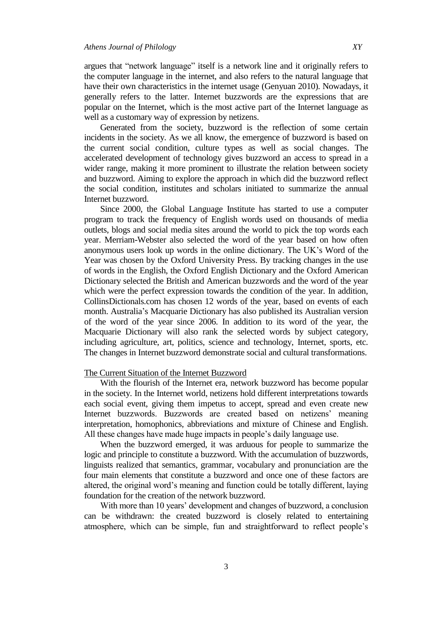argues that "network language" itself is a network line and it originally refers to the computer language in the internet, and also refers to the natural language that have their own characteristics in the internet usage (Genyuan 2010). Nowadays, it generally refers to the latter. Internet buzzwords are the expressions that are popular on the Internet, which is the most active part of the Internet language as well as a customary way of expression by netizens.

Generated from the society, buzzword is the reflection of some certain incidents in the society. As we all know, the emergence of buzzword is based on the current social condition, culture types as well as social changes. The accelerated development of technology gives buzzword an access to spread in a wider range, making it more prominent to illustrate the relation between society and buzzword. Aiming to explore the approach in which did the buzzword reflect the social condition, institutes and scholars initiated to summarize the annual Internet buzzword.

Since 2000, the Global Language Institute has started to use a computer program to track the frequency of English words used on thousands of media outlets, blogs and social media sites around the world to pick the top words each year. Merriam-Webster also selected the word of the year based on how often anonymous users look up words in the online dictionary. The UK's Word of the Year was chosen by the Oxford University Press. By tracking changes in the use of words in the English, the Oxford English Dictionary and the Oxford American Dictionary selected the British and American buzzwords and the word of the year which were the perfect expression towards the condition of the year. In addition, CollinsDictionals.com has chosen 12 words of the year, based on events of each month. Australia's Macquarie Dictionary has also published its Australian version of the word of the year since 2006. In addition to its word of the year, the Macquarie Dictionary will also rank the selected words by subject category, including agriculture, art, politics, science and technology, Internet, sports, etc. The changes in Internet buzzword demonstrate social and cultural transformations.

## The Current Situation of the Internet Buzzword

With the flourish of the Internet era, network buzzword has become popular in the society. In the Internet world, netizens hold different interpretations towards each social event, giving them impetus to accept, spread and even create new Internet buzzwords. Buzzwords are created based on netizens' meaning interpretation, homophonics, abbreviations and mixture of Chinese and English. All these changes have made huge impacts in people's daily language use.

When the buzzword emerged, it was arduous for people to summarize the logic and principle to constitute a buzzword. With the accumulation of buzzwords, linguists realized that semantics, grammar, vocabulary and pronunciation are the four main elements that constitute a buzzword and once one of these factors are altered, the original word's meaning and function could be totally different, laying foundation for the creation of the network buzzword.

With more than 10 years' development and changes of buzzword, a conclusion can be withdrawn: the created buzzword is closely related to entertaining atmosphere, which can be simple, fun and straightforward to reflect people's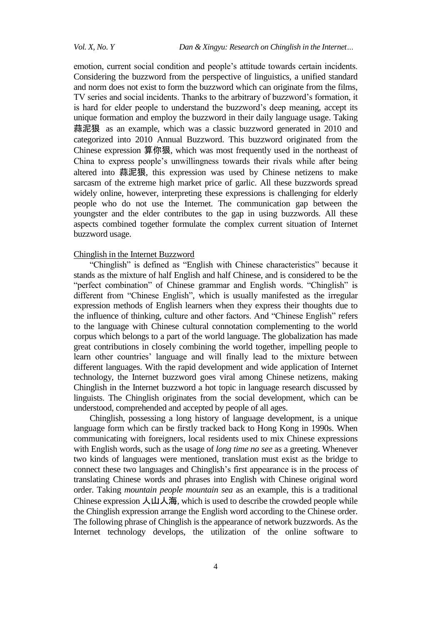emotion, current social condition and people's attitude towards certain incidents. Considering the buzzword from the perspective of linguistics, a unified standard and norm does not exist to form the buzzword which can originate from the films, TV series and social incidents. Thanks to the arbitrary of buzzword's formation, it is hard for elder people to understand the buzzword's deep meaning, accept its unique formation and employ the buzzword in their daily language usage. Taking 蒜泥狠 as an example, which was a classic buzzword generated in 2010 and categorized into 2010 Annual Buzzword. This buzzword originated from the Chinese expression 算你狠, which was most frequently used in the northeast of China to express people's unwillingness towards their rivals while after being altered into 蒜泥狠, this expression was used by Chinese netizens to make sarcasm of the extreme high market price of garlic. All these buzzwords spread widely online, however, interpreting these expressions is challenging for elderly people who do not use the Internet. The communication gap between the youngster and the elder contributes to the gap in using buzzwords. All these aspects combined together formulate the complex current situation of Internet buzzword usage.

## Chinglish in the Internet Buzzword

"Chinglish" is defined as "English with Chinese characteristics" because it stands as the mixture of half English and half Chinese, and is considered to be the "perfect combination" of Chinese grammar and English words. "Chinglish" is different from "Chinese English", which is usually manifested as the irregular expression methods of English learners when they express their thoughts due to the influence of thinking, culture and other factors. And "Chinese English" refers to the language with Chinese cultural connotation complementing to the world corpus which belongs to a part of the world language. The globalization has made great contributions in closely combining the world together, impelling people to learn other countries' language and will finally lead to the mixture between different languages. With the rapid development and wide application of Internet technology, the Internet buzzword goes viral among Chinese netizens, making Chinglish in the Internet buzzword a hot topic in language research discussed by linguists. The Chinglish originates from the social development, which can be understood, comprehended and accepted by people of all ages.

Chinglish, possessing a long history of language development, is a unique language form which can be firstly tracked back to Hong Kong in 1990s. When communicating with foreigners, local residents used to mix Chinese expressions with English words, such as the usage of *long time no see* as a greeting. Whenever two kinds of languages were mentioned, translation must exist as the bridge to connect these two languages and Chinglish's first appearance is in the process of translating Chinese words and phrases into English with Chinese original word order. Taking *mountain people mountain sea* as an example, this is a traditional Chinese expression  $\lambda \mu \lambda \hat{\pi}$ , which is used to describe the crowded people while the Chinglish expression arrange the English word according to the Chinese order. The following phrase of Chinglish is the appearance of network buzzwords. As the Internet technology develops, the utilization of the online software to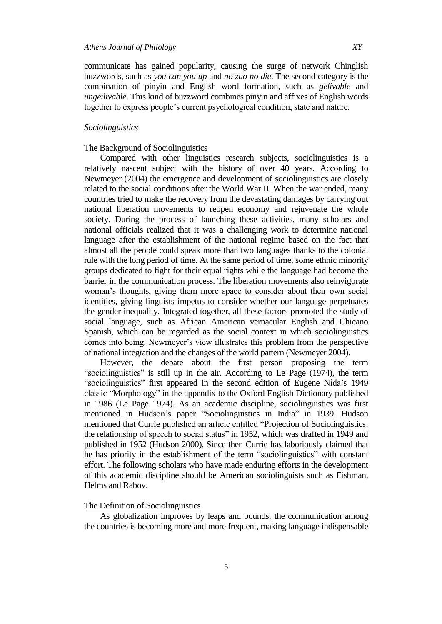communicate has gained popularity, causing the surge of network Chinglish buzzwords, such as *you can you up* and *no zuo no die*. The second category is the combination of pinyin and English word formation, such as *gelivable* and *ungeilivable*. This kind of buzzword combines pinyin and affixes of English words together to express people's current psychological condition, state and nature.

## *Sociolinguistics*

#### The Background of Sociolinguistics

Compared with other linguistics research subjects, sociolinguistics is a relatively nascent subject with the history of over 40 years. According to Newmeyer (2004) the emergence and development of sociolinguistics are closely related to the social conditions after the World War II. When the war ended, many countries tried to make the recovery from the devastating damages by carrying out national liberation movements to reopen economy and rejuvenate the whole society. During the process of launching these activities, many scholars and national officials realized that it was a challenging work to determine national language after the establishment of the national regime based on the fact that almost all the people could speak more than two languages thanks to the colonial rule with the long period of time. At the same period of time, some ethnic minority groups dedicated to fight for their equal rights while the language had become the barrier in the communication process. The liberation movements also reinvigorate woman's thoughts, giving them more space to consider about their own social identities, giving linguists impetus to consider whether our language perpetuates the gender inequality. Integrated together, all these factors promoted the study of social language, such as African American vernacular English and Chicano Spanish, which can be regarded as the social context in which sociolinguistics comes into being. Newmeyer's view illustrates this problem from the perspective of national integration and the changes of the world pattern (Newmeyer 2004).

However, the debate about the first person proposing the term "sociolinguistics" is still up in the air. According to Le Page (1974), the term "sociolinguistics" first appeared in the second edition of Eugene Nida's 1949 classic "Morphology" in the appendix to the Oxford English Dictionary published in 1986 (Le Page 1974). As an academic discipline, sociolinguistics was first mentioned in Hudson's paper "Sociolinguistics in India" in 1939. Hudson mentioned that Currie published an article entitled "Projection of Sociolinguistics: the relationship of speech to social status" in 1952, which was drafted in 1949 and published in 1952 (Hudson 2000). Since then Currie has laboriously claimed that he has priority in the establishment of the term "sociolinguistics" with constant effort. The following scholars who have made enduring efforts in the development of this academic discipline should be American sociolinguists such as Fishman, Helms and Rabov.

#### The Definition of Sociolinguistics

As globalization improves by leaps and bounds, the communication among the countries is becoming more and more frequent, making language indispensable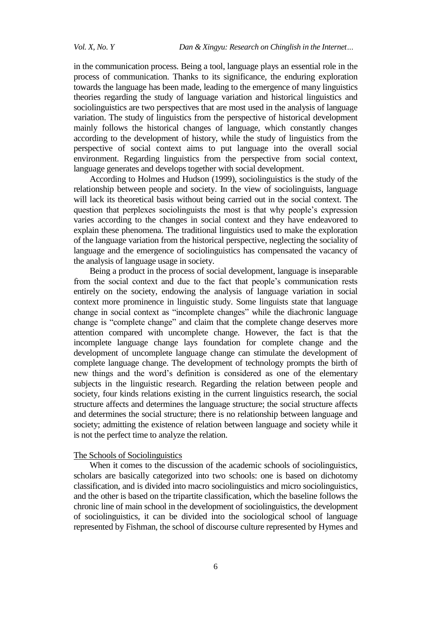in the communication process. Being a tool, language plays an essential role in the process of communication. Thanks to its significance, the enduring exploration towards the language has been made, leading to the emergence of many linguistics theories regarding the study of language variation and historical linguistics and sociolinguistics are two perspectives that are most used in the analysis of language variation. The study of linguistics from the perspective of historical development mainly follows the historical changes of language, which constantly changes according to the development of history, while the study of linguistics from the perspective of social context aims to put language into the overall social environment. Regarding linguistics from the perspective from social context, language generates and develops together with social development.

According to Holmes and Hudson (1999), sociolinguistics is the study of the relationship between people and society. In the view of sociolinguists, language will lack its theoretical basis without being carried out in the social context. The question that perplexes sociolinguists the most is that why people's expression varies according to the changes in social context and they have endeavored to explain these phenomena. The traditional linguistics used to make the exploration of the language variation from the historical perspective, neglecting the sociality of language and the emergence of sociolinguistics has compensated the vacancy of the analysis of language usage in society.

Being a product in the process of social development, language is inseparable from the social context and due to the fact that people's communication rests entirely on the society, endowing the analysis of language variation in social context more prominence in linguistic study. Some linguists state that language change in social context as "incomplete changes" while the diachronic language change is "complete change" and claim that the complete change deserves more attention compared with uncomplete change. However, the fact is that the incomplete language change lays foundation for complete change and the development of uncomplete language change can stimulate the development of complete language change. The development of technology prompts the birth of new things and the word's definition is considered as one of the elementary subjects in the linguistic research. Regarding the relation between people and society, four kinds relations existing in the current linguistics research, the social structure affects and determines the language structure; the social structure affects and determines the social structure; there is no relationship between language and society; admitting the existence of relation between language and society while it is not the perfect time to analyze the relation.

#### The Schools of Sociolinguistics

When it comes to the discussion of the academic schools of sociolinguistics, scholars are basically categorized into two schools: one is based on dichotomy classification, and is divided into macro sociolinguistics and micro sociolinguistics, and the other is based on the tripartite classification, which the baseline follows the chronic line of main school in the development of sociolinguistics, the development of sociolinguistics, it can be divided into the sociological school of language represented by Fishman, the school of discourse culture represented by Hymes and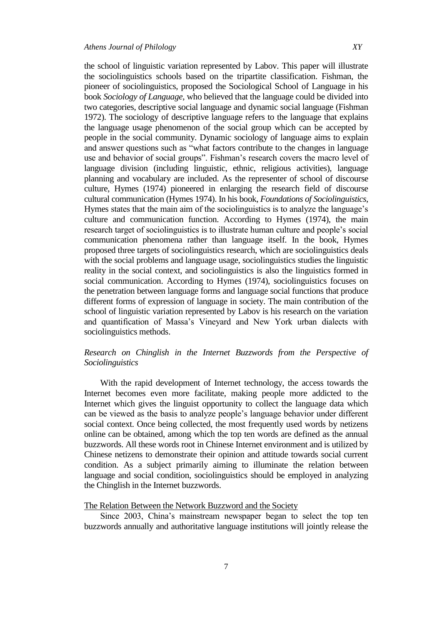the school of linguistic variation represented by Labov. This paper will illustrate the sociolinguistics schools based on the tripartite classification. Fishman, the pioneer of sociolinguistics, proposed the Sociological School of Language in his book *Sociology of Language*, who believed that the language could be divided into two categories, descriptive social language and dynamic social language (Fishman 1972). The sociology of descriptive language refers to the language that explains the language usage phenomenon of the social group which can be accepted by people in the social community. Dynamic sociology of language aims to explain and answer questions such as "what factors contribute to the changes in language use and behavior of social groups". Fishman's research covers the macro level of language division (including linguistic, ethnic, religious activities), language planning and vocabulary are included. As the representer of school of discourse culture, Hymes (1974) pioneered in enlarging the research field of discourse cultural communication (Hymes 1974). In his book, *Foundations of Sociolinguistics*, Hymes states that the main aim of the sociolinguistics is to analyze the language's culture and communication function. According to Hymes (1974), the main research target of sociolinguistics is to illustrate human culture and people's social communication phenomena rather than language itself. In the book, Hymes proposed three targets of sociolinguistics research, which are sociolinguistics deals with the social problems and language usage, sociolinguistics studies the linguistic reality in the social context, and sociolinguistics is also the linguistics formed in social communication. According to Hymes (1974), sociolinguistics focuses on the penetration between language forms and language social functions that produce different forms of expression of language in society. The main contribution of the school of linguistic variation represented by Labov is his research on the variation and quantification of Massa's Vineyard and New York urban dialects with sociolinguistics methods.

# *Research on Chinglish in the Internet Buzzwords from the Perspective of Sociolinguistics*

With the rapid development of Internet technology, the access towards the Internet becomes even more facilitate, making people more addicted to the Internet which gives the linguist opportunity to collect the language data which can be viewed as the basis to analyze people's language behavior under different social context. Once being collected, the most frequently used words by netizens online can be obtained, among which the top ten words are defined as the annual buzzwords. All these words root in Chinese Internet environment and is utilized by Chinese netizens to demonstrate their opinion and attitude towards social current condition. As a subject primarily aiming to illuminate the relation between language and social condition, sociolinguistics should be employed in analyzing the Chinglish in the Internet buzzwords.

## The Relation Between the Network Buzzword and the Society

Since 2003, China's mainstream newspaper began to select the top ten buzzwords annually and authoritative language institutions will jointly release the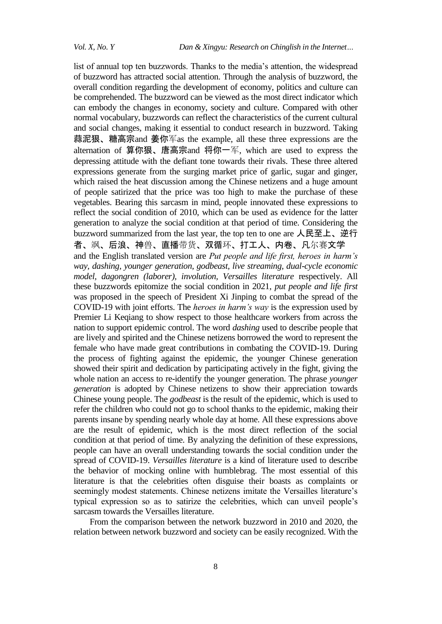list of annual top ten buzzwords. Thanks to the media's attention, the widespread of buzzword has attracted social attention. Through the analysis of buzzword, the overall condition regarding the development of economy, politics and culture can be comprehended. The buzzword can be viewed as the most direct indicator which can embody the changes in economy, society and culture. Compared with other normal vocabulary, buzzwords can reflect the characteristics of the current cultural and social changes, making it essential to conduct research in buzzword. Taking 蒜泥狠、糖高宗and 姜你军as the example, all these three expressions are the alternation of 算你狠、唐高宗and 将你一军, which are used to express the depressing attitude with the defiant tone towards their rivals. These three altered expressions generate from the surging market price of garlic, sugar and ginger, which raised the heat discussion among the Chinese netizens and a huge amount of people satirized that the price was too high to make the purchase of these vegetables. Bearing this sarcasm in mind, people innovated these expressions to reflect the social condition of 2010, which can be used as evidence for the latter generation to analyze the social condition at that period of time. Considering the buzzword summarized from the last year, the top ten to one are 人民至上、逆行 者、飒、后浪、神兽、直播带货、双循环、打工人、内卷、凡尔赛文学 and the English translated version are *Put people and life first, heroes in harm's way, dashing, younger generation, godbeast, live streaming, dual-cycle economic model, dagongren (laborer), involution, Versailles literature* respectively. All these buzzwords epitomize the social condition in 2021, *put people and life first* was proposed in the speech of President Xi Jinping to combat the spread of the COVID-19 with joint efforts. The *heroes in harm's way* is the expression used by Premier Li Keqiang to show respect to those healthcare workers from across the nation to support epidemic control. The word *dashing* used to describe people that are lively and spirited and the Chinese netizens borrowed the word to represent the female who have made great contributions in combating the COVID-19. During the process of fighting against the epidemic, the younger Chinese generation showed their spirit and dedication by participating actively in the fight, giving the whole nation an access to re-identify the younger generation. The phrase *younger generation* is adopted by Chinese netizens to show their appreciation towards Chinese young people. The *godbeast* is the result of the epidemic, which is used to refer the children who could not go to school thanks to the epidemic, making their parents insane by spending nearly whole day at home. All these expressions above are the result of epidemic, which is the most direct reflection of the social condition at that period of time. By analyzing the definition of these expressions, people can have an overall understanding towards the social condition under the spread of COVID-19. *Versailles literature* is a kind of literature used to describe the behavior of mocking online with humblebrag. The most essential of this literature is that the celebrities often disguise their boasts as complaints or seemingly modest statements. Chinese netizens imitate the Versailles literature's typical expression so as to satirize the celebrities, which can unveil people's sarcasm towards the Versailles literature.

From the comparison between the network buzzword in 2010 and 2020, the relation between network buzzword and society can be easily recognized. With the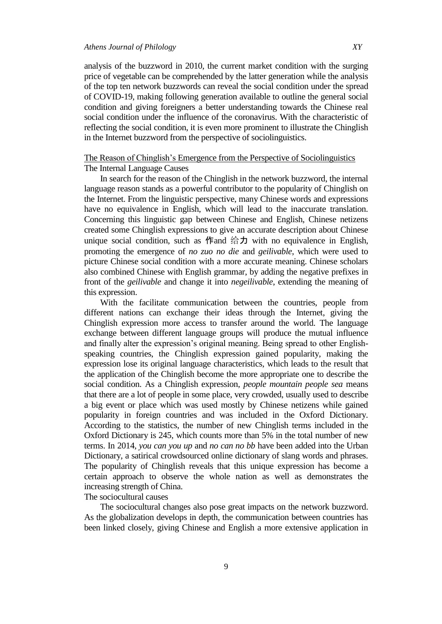## *Athens Journal of Philology XY*

analysis of the buzzword in 2010, the current market condition with the surging price of vegetable can be comprehended by the latter generation while the analysis of the top ten network buzzwords can reveal the social condition under the spread of COVID-19, making following generation available to outline the general social condition and giving foreigners a better understanding towards the Chinese real social condition under the influence of the coronavirus. With the characteristic of reflecting the social condition, it is even more prominent to illustrate the Chinglish in the Internet buzzword from the perspective of sociolinguistics.

## The Reason of Chinglish's Emergence from the Perspective of Sociolinguistics The Internal Language Causes

In search for the reason of the Chinglish in the network buzzword, the internal language reason stands as a powerful contributor to the popularity of Chinglish on the Internet. From the linguistic perspective, many Chinese words and expressions have no equivalence in English, which will lead to the inaccurate translation. Concerning this linguistic gap between Chinese and English, Chinese netizens created some Chinglish expressions to give an accurate description about Chinese unique social condition, such as 作and 给力 with no equivalence in English, promoting the emergence of *no zuo no die* and *geilivable*, which were used to picture Chinese social condition with a more accurate meaning. Chinese scholars also combined Chinese with English grammar, by adding the negative prefixes in front of the *geilivable* and change it into *negeilivable*, extending the meaning of this expression.

With the facilitate communication between the countries, people from different nations can exchange their ideas through the Internet, giving the Chinglish expression more access to transfer around the world. The language exchange between different language groups will produce the mutual influence and finally alter the expression's original meaning. Being spread to other Englishspeaking countries, the Chinglish expression gained popularity, making the expression lose its original language characteristics, which leads to the result that the application of the Chinglish become the more appropriate one to describe the social condition. As a Chinglish expression, *people mountain people sea* means that there are a lot of people in some place, very crowded, usually used to describe a big event or place which was used mostly by Chinese netizens while gained popularity in foreign countries and was included in the Oxford Dictionary. According to the statistics, the number of new Chinglish terms included in the Oxford Dictionary is 245, which counts more than 5% in the total number of new terms. In 2014, *you can you up* and *no can no bb* have been added into the Urban Dictionary, a satirical crowdsourced online dictionary of slang words and phrases. The popularity of Chinglish reveals that this unique expression has become a certain approach to observe the whole nation as well as demonstrates the increasing strength of China.

## The sociocultural causes

The sociocultural changes also pose great impacts on the network buzzword. As the globalization develops in depth, the communication between countries has been linked closely, giving Chinese and English a more extensive application in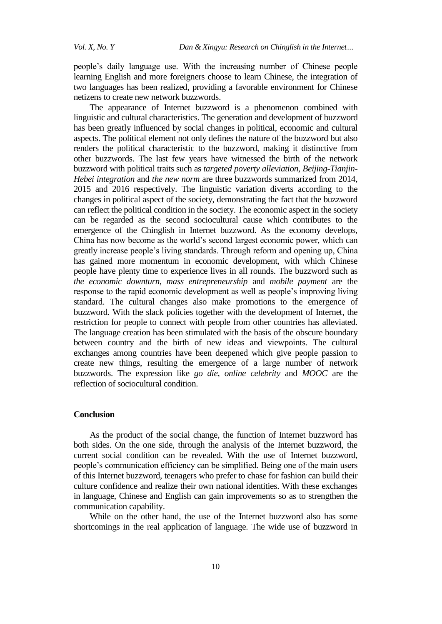people's daily language use. With the increasing number of Chinese people learning English and more foreigners choose to learn Chinese, the integration of two languages has been realized, providing a favorable environment for Chinese netizens to create new network buzzwords.

The appearance of Internet buzzword is a phenomenon combined with linguistic and cultural characteristics. The generation and development of buzzword has been greatly influenced by social changes in political, economic and cultural aspects. The political element not only defines the nature of the buzzword but also renders the political characteristic to the buzzword, making it distinctive from other buzzwords. The last few years have witnessed the birth of the network buzzword with political traits such as *targeted poverty alleviation, Beijing-Tianjin-Hebei integration* and *the new norm* are three buzzwords summarized from 2014, 2015 and 2016 respectively. The linguistic variation diverts according to the changes in political aspect of the society, demonstrating the fact that the buzzword can reflect the political condition in the society. The economic aspect in the society can be regarded as the second sociocultural cause which contributes to the emergence of the Chinglish in Internet buzzword. As the economy develops, China has now become as the world's second largest economic power, which can greatly increase people's living standards. Through reform and opening up, China has gained more momentum in economic development, with which Chinese people have plenty time to experience lives in all rounds. The buzzword such as *the economic downturn, mass entrepreneurship* and *mobile payment* are the response to the rapid economic development as well as people's improving living standard. The cultural changes also make promotions to the emergence of buzzword. With the slack policies together with the development of Internet, the restriction for people to connect with people from other countries has alleviated. The language creation has been stimulated with the basis of the obscure boundary between country and the birth of new ideas and viewpoints. The cultural exchanges among countries have been deepened which give people passion to create new things, resulting the emergence of a large number of network buzzwords. The expression like *go die, online celebrity* and *MOOC* are the reflection of sociocultural condition.

## **Conclusion**

As the product of the social change, the function of Internet buzzword has both sides. On the one side, through the analysis of the Internet buzzword, the current social condition can be revealed. With the use of Internet buzzword, people's communication efficiency can be simplified. Being one of the main users of this Internet buzzword, teenagers who prefer to chase for fashion can build their culture confidence and realize their own national identities. With these exchanges in language, Chinese and English can gain improvements so as to strengthen the communication capability.

While on the other hand, the use of the Internet buzzword also has some shortcomings in the real application of language. The wide use of buzzword in